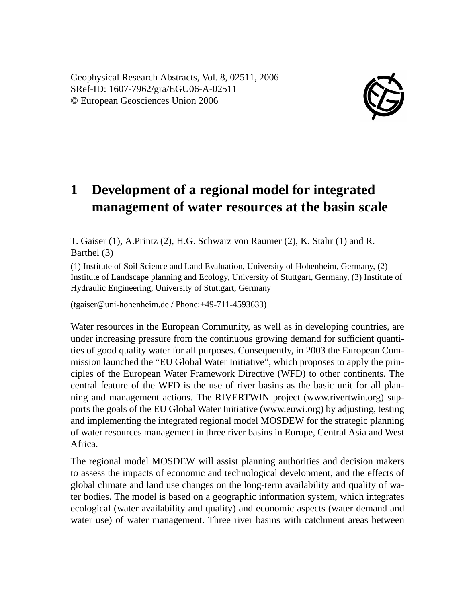Geophysical Research Abstracts, Vol. 8, 02511, 2006 SRef-ID: 1607-7962/gra/EGU06-A-02511 © European Geosciences Union 2006



## **1 Development of a regional model for integrated management of water resources at the basin scale**

T. Gaiser (1), A.Printz (2), H.G. Schwarz von Raumer (2), K. Stahr (1) and R. Barthel (3)

(1) Institute of Soil Science and Land Evaluation, University of Hohenheim, Germany, (2) Institute of Landscape planning and Ecology, University of Stuttgart, Germany, (3) Institute of Hydraulic Engineering, University of Stuttgart, Germany

(tgaiser@uni-hohenheim.de / Phone:+49-711-4593633)

Water resources in the European Community, as well as in developing countries, are under increasing pressure from the continuous growing demand for sufficient quantities of good quality water for all purposes. Consequently, in 2003 the European Commission launched the "EU Global Water Initiative", which proposes to apply the principles of the European Water Framework Directive (WFD) to other continents. The central feature of the WFD is the use of river basins as the basic unit for all planning and management actions. The RIVERTWIN project (www.rivertwin.org) supports the goals of the EU Global Water Initiative (www.euwi.org) by adjusting, testing and implementing the integrated regional model MOSDEW for the strategic planning of water resources management in three river basins in Europe, Central Asia and West Africa.

The regional model MOSDEW will assist planning authorities and decision makers to assess the impacts of economic and technological development, and the effects of global climate and land use changes on the long-term availability and quality of water bodies. The model is based on a geographic information system, which integrates ecological (water availability and quality) and economic aspects (water demand and water use) of water management. Three river basins with catchment areas between